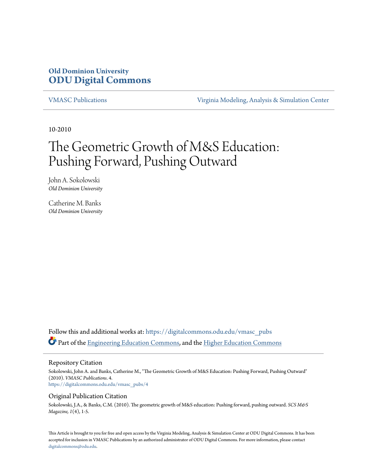# **Old Dominion University [ODU Digital Commons](https://digitalcommons.odu.edu?utm_source=digitalcommons.odu.edu%2Fvmasc_pubs%2F4&utm_medium=PDF&utm_campaign=PDFCoverPages)**

[VMASC Publications](https://digitalcommons.odu.edu/vmasc_pubs?utm_source=digitalcommons.odu.edu%2Fvmasc_pubs%2F4&utm_medium=PDF&utm_campaign=PDFCoverPages) [Virginia Modeling, Analysis & Simulation Center](https://digitalcommons.odu.edu/vmasc?utm_source=digitalcommons.odu.edu%2Fvmasc_pubs%2F4&utm_medium=PDF&utm_campaign=PDFCoverPages)

10-2010

# The Geometric Growth of M&S Education: Pushing Forward, Pushing Outward

John A. Sokolowski *Old Dominion University*

Catherine M. Banks *Old Dominion University*

Follow this and additional works at: [https://digitalcommons.odu.edu/vmasc\\_pubs](https://digitalcommons.odu.edu/vmasc_pubs?utm_source=digitalcommons.odu.edu%2Fvmasc_pubs%2F4&utm_medium=PDF&utm_campaign=PDFCoverPages) Part of the [Engineering Education Commons](http://network.bepress.com/hgg/discipline/1191?utm_source=digitalcommons.odu.edu%2Fvmasc_pubs%2F4&utm_medium=PDF&utm_campaign=PDFCoverPages), and the [Higher Education Commons](http://network.bepress.com/hgg/discipline/1245?utm_source=digitalcommons.odu.edu%2Fvmasc_pubs%2F4&utm_medium=PDF&utm_campaign=PDFCoverPages)

#### Repository Citation

Sokolowski, John A. and Banks, Catherine M., "The Geometric Growth of M&S Education: Pushing Forward, Pushing Outward" (2010). *VMASC Publications*. 4. [https://digitalcommons.odu.edu/vmasc\\_pubs/4](https://digitalcommons.odu.edu/vmasc_pubs/4?utm_source=digitalcommons.odu.edu%2Fvmasc_pubs%2F4&utm_medium=PDF&utm_campaign=PDFCoverPages)

#### Original Publication Citation

Sokolowski, J.A., & Banks, C.M. (2010). The geometric growth of M&S education: Pushing forward, pushing outward. *SCS M&S Magazine, 1*(4), 1-5.

This Article is brought to you for free and open access by the Virginia Modeling, Analysis & Simulation Center at ODU Digital Commons. It has been accepted for inclusion in VMASC Publications by an authorized administrator of ODU Digital Commons. For more information, please contact [digitalcommons@odu.edu.](mailto:digitalcommons@odu.edu)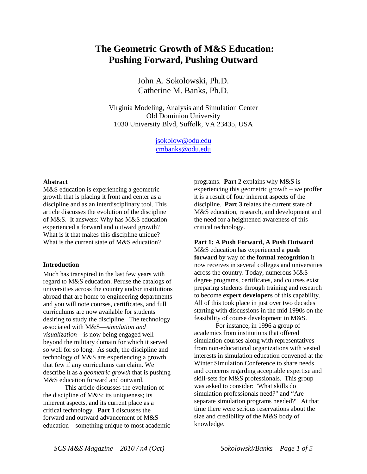# **The Geometric Growth of M&S Education: Pushing Forward, Pushing Outward**

John A. Sokolowski, Ph.D. Catherine M. Banks, Ph.D.

Virginia Modeling, Analysis and Simulation Center Old Dominion University 1030 University Blvd, Suffolk, VA 23435, USA

> [jsokolow@odu.edu](mailto:jsokolow@odu.edu) [cmbanks@odu.edu](mailto:cmbanks@odu.edu)

#### **Abstract**

M&S education is experiencing a geometric growth that is placing it front and center as a discipline and as an interdisciplinary tool. This article discusses the evolution of the discipline of M&S. It answers: Why has M&S education experienced a forward and outward growth? What is it that makes this discipline unique? What is the current state of M&S education?

#### **Introduction**

Much has transpired in the last few years with regard to M&S education. Peruse the catalogs of universities across the country and/or institutions abroad that are home to engineering departments and you will note courses, certificates, and full curriculums are now available for students desiring to study the discipline. The technology associated with M&S—*simulation and visualization*—is now being engaged well beyond the military domain for which it served so well for so long. As such, the discipline and technology of M&S are experiencing a growth that few if any curriculums can claim. We describe it as a *geometric growth* that is pushing M&S education forward and outward.

This article discusses the evolution of the discipline of M&S: its uniqueness; its inherent aspects, and its current place as a critical technology. **Part 1** discusses the forward and outward advancement of M&S education – something unique to most academic programs. **Part 2** explains why M&S is experiencing this geometric growth – we proffer it is a result of four inherent aspects of the discipline. **Part 3** relates the current state of M&S education, research, and development and the need for a heightened awareness of this critical technology.

**Part 1: A Push Forward, A Push Outward** M&S education has experienced a **push forward** by way of the **formal recognition** it now receives in several colleges and universities across the country. Today, numerous M&S degree programs, certificates, and courses exist preparing students through training and research to become **expert developers** of this capability. All of this took place in just over two decades starting with discussions in the mid 1990s on the feasibility of course development in M&S.

For instance, in 1996 a group of academics from institutions that offered simulation courses along with representatives from non-educational organizations with vested interests in simulation education convened at the Winter Simulation Conference to share needs and concerns regarding acceptable expertise and skill-sets for M&S professionals. This group was asked to consider: "What skills do simulation professionals need?" and "Are separate simulation programs needed?" At that time there were serious reservations about the size and credibility of the M&S body of knowledge.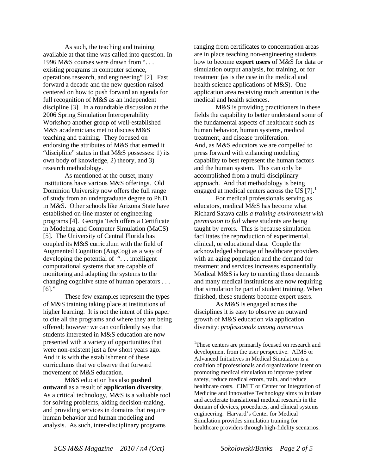As such, the teaching and training available at that time was called into question. In 1996 M&S courses were drawn from ". . . existing programs in computer science, operations research, and engineering" [2]. Fast forward a decade and the new question raised centered on how to push forward an agenda for full recognition of M&S as an independent discipline [3]. In a roundtable discussion at the 2006 Spring Simulation Interoperability Workshop another group of well-established M&S academicians met to discuss M&S teaching and training. They focused on endorsing the attributes of M&S that earned it "discipline" status in that M&S possesses: 1) its own body of knowledge, 2) theory, and 3) research methodology.

As mentioned at the outset, many institutions have various M&S offerings. Old Dominion University now offers the full range of study from an undergraduate degree to Ph.D. in M&S. Other schools like Arizona State have established on-line master of engineering programs [4]. Georgia Tech offers a Certificate in Modeling and Computer Simulation (MaCS) [5]. The University of Central Florida has coupled its M&S curriculum with the field of Augmented Cognition (AugCog) as a way of developing the potential of ". . . intelligent computational systems that are capable of monitoring and adapting the systems to the changing cognitive state of human operators . . .  $[6]$ ."

These few examples represent the types of M&S training taking place at institutions of higher learning. It is not the intent of this paper to cite all the programs and where they are being offered; however we can confidently say that students interested in M&S education are now presented with a variety of opportunities that were non-existent just a few short years ago. And it is with the establishment of these curriculums that we observe that forward movement of M&S education.

<span id="page-2-0"></span>M&S education has also **pushed outward** as a result of **application diversity**. As a critical technology, M&S is a valuable tool for solving problems, aiding decision-making, and providing services in domains that require human behavior and human modeling and analysis. As such, inter-disciplinary programs

ranging from certificates to concentration areas are in place teaching non-engineering students how to become **expert users** of M&S for data or simulation output analysis, for training, or for treatment (as is the case in the medical and health science applications of M&S). One application area receiving much attention is the medical and health sciences.

M&S is providing practitioners in these fields the capability to better understand some of the fundamental aspects of healthcare such as human behavior, human systems, medical treatment, and disease proliferation. And, as M&S educators we are compelled to press forward with enhancing modeling capability to best represent the human factors and the human system. This can only be accomplished from a multi-disciplinary approach. And that methodology is being engaged at medical centers across the US  $[7]$ .<sup>[1](#page-2-0)</sup>

For medical professionals serving as educators, medical M&S has become what Richard Satava calls *a training environment with permission to fail* where students are being taught by errors. This is because simulation facilitates the reproduction of experimental, clinical, or educational data. Couple the acknowledged shortage of healthcare providers with an aging population and the demand for treatment and services increases exponentially. Medical M&S is key to meeting those demands and many medical institutions are now requiring that simulation be part of student training. When finished, these students become expert users.

As M&S is engaged across the disciplines it is easy to observe an outward growth of M&S education via application diversity: *professionals among numerous* 

 $\frac{1}{1}$ <sup>1</sup>These centers are primarily focused on research and development from the user perspective. AIMS or Advanced Initiatives in Medical Simulation is a coalition of professionals and organizations intent on promoting medical simulation to improve patient safety, reduce medical errors, train, and reduce healthcare costs. CIMIT or Center for Integration of Medicine and Innovative Technology aims to initiate and accelerate translational medical research in the domain of devices, procedures, and clinical systems engineering. Harvard's Center for Medical Simulation provides simulation training for healthcare providers through high-fidelity scenarios.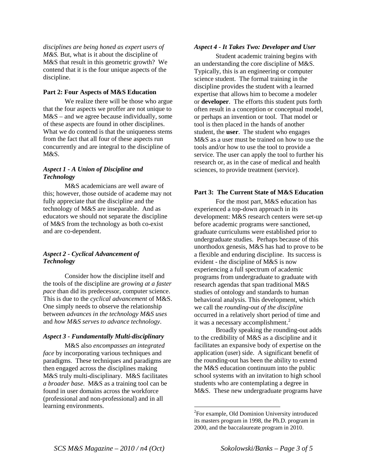*disciplines are being honed as expert users of M&S.* But, what is it about the discipline of M&S that result in this geometric growth? We contend that it is the four unique aspects of the discipline.

## **Part 2: Four Aspects of M&S Education**

We realize there will be those who argue that the four aspects we proffer are not unique to M&S – and we agree because individually, some of these aspects are found in other disciplines. What we do contend is that the uniqueness stems from the fact that all four of these aspects run concurrently and are integral to the discipline of M&S.

## *Aspect 1 - A Union of Discipline and Technology*

M&S academicians are well aware of this; however, those outside of academe may not fully appreciate that the discipline and the technology of M&S are inseparable. And as educators we should not separate the discipline of M&S from the technology as both co-exist and are co-dependent.

# *Aspect 2 - Cyclical Advancement of Technology*

Consider how the discipline itself and the tools of the discipline are *growing at a faster pace* than did its predecessor, computer science. This is due to the *cyclical advancement* of M&S. One simply needs to observe the relationship between *advances in the technology M&S uses* and *how M&S serves to advance technology*.

## *Aspect 3 - Fundamentally Multi-disciplinary*

<span id="page-3-0"></span>M&S also *encompasses an integrated face* by incorporating various techniques and paradigms. These techniques and paradigms are then engaged across the disciplines making M&S truly multi-disciplinary. M&S facilitates *a broader base*. M&S as a training tool can be found in user domains across the workforce (professional and non-professional) and in all learning environments.

#### *Aspect 4 - It Takes Two: Developer and User*

Student academic training begins with an understanding the core discipline of M&S. Typically, this is an engineering or computer science student. The formal training in the discipline provides the student with a learned expertise that allows him to become a modeler or **developer**. The efforts this student puts forth often result in a conception or conceptual model, or perhaps an invention or tool. That model or tool is then placed in the hands of another student, the **user**. The student who engages M&S as a user must be trained on how to use the tools and/or how to use the tool to provide a service. The user can apply the tool to further his research or, as in the case of medical and health sciences, to provide treatment (service).

## **Part 3: The Current State of M&S Education**

For the most part, M&S education has experienced a top-down approach in its development: M&S research centers were set-up before academic programs were sanctioned, graduate curriculums were established prior to undergraduate studies. Perhaps because of this unorthodox genesis, M&S has had to prove to be a flexible and enduring discipline. Its success is evident - the discipline of M&S is now experiencing a full spectrum of academic programs from undergraduate to graduate with research agendas that span traditional M&S studies of ontology and standards to human behavioral analysis. This development, which we call the *rounding-out of the discipline* occurred in a relatively short period of time and it was a necessary accomplishment.<sup>[2](#page-3-0)</sup>

Broadly speaking the rounding-out adds to the credibility of M&S as a discipline and it facilitates an expansive body of expertise on the application (user) side. A significant benefit of the rounding-out has been the ability to extend the M&S education continuum into the public school systems with an invitation to high school students who are contemplating a degree in M&S. These new undergraduate programs have

 $\frac{1}{2}$ <sup>2</sup>For example, Old Dominion University introduced its masters program in 1998, the Ph.D. program in 2000, and the baccalaureate program in 2010.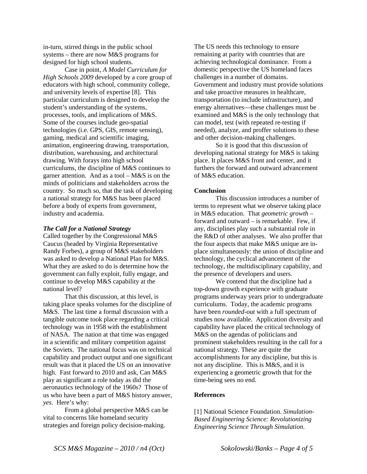in-turn, stirred things in the public school systems – there are now M&S programs for designed for high school students.

Case in point, *A Model Curriculum for High Schools 2009* developed by a core group of educators with high school, community college, and university levels of expertise [8]. This particular curriculum is designed to develop the student's understanding of the systems, processes, tools, and implications of M&S. Some of the courses include geo-spatial technologies (i.e. GPS, GIS, remote sensing), gaming, medical and scientific imaging, animation, engineering drawing, transportation, distribution, warehousing, and architectural drawing. With forays into high school curriculums, the discipline of M&S continues to garner attention. And as a tool – M&S is on the minds of politicians and stakeholders across the country. So much so, that the task of developing a national strategy for M&S has been placed before a body of experts from government, industry and academia.

#### *The Call for a National Strategy*

Called together by the Congressional M&S Caucus (headed by Virginia Representative Randy Forbes), a group of M&S stakeholders was asked to develop a National Plan for M&S. What they are asked to do is determine how the government can fully exploit, fully engage, and continue to develop M&S capability at the national level?

That this discussion, at this level, is taking place speaks volumes for the discipline of M&S. The last time a formal discussion with a tangible outcome took place regarding a critical technology was in 1958 with the establishment of NASA. The nation at that time was engaged in a scientific and military competition against the Soviets. The national focus was on technical capability and product output and one significant result was that it placed the US on an innovative high. Fast forward to 2010 and ask, Can M&S play as significant a role today as did the aeronautics technology of the 1960s? Those of us who have been a part of M&S history answer, *yes*. Here's why:

From a global perspective M&S can be vital to concerns like homeland security strategies and foreign policy decision-making.

The US needs this technology to ensure remaining at parity with countries that are achieving technological dominance. From a domestic perspective the US homeland faces challenges in a number of domains. Government and industry must provide solutions and take proactive measures in healthcare, transportation (to include infrastructure), and energy alternatives—these challenges must be examined and M&S is the only technology that can model, test (with repeated re-testing if needed), analyze, and proffer solutions to these and other decision-making challenges.

So it is good that this discussion of developing national strategy for M&S is taking place. It places M&S front and center, and it furthers the forward and outward advancement of M&S education.

## **Conclusion**

This discussion introduces a number of terms to represent what we observe taking place in M&S education. That *geometric growth* – forward and outward – is remarkable. Few, if any, disciplines play such a substantial role in the R&D of other analyses. We also proffer that the four aspects that make M&S unique are inplace simultaneously: the union of discipline and technology, the cyclical advancement of the technology, the multidisciplinary capability, and the presence of developers and users.

We contend that the discipline had a top-down growth experience with graduate programs underway years prior to undergraduate curriculums. Today, the academic programs have been *rounded-out* with a full spectrum of studies now available. Application diversity and capability have placed the critical technology of M&S on the agendas of politicians and prominent stakeholders resulting in the call for a national strategy. These are quite the accomplishments for any discipline, but this is not any discipline. This is M&S, and it is experiencing a geometric growth that for the time-being sees no end.

## **References**

[1] National Science Foundation. *Simulation-Based Engineering Science: Revolutionizing Engineering Science Through Simulation*.